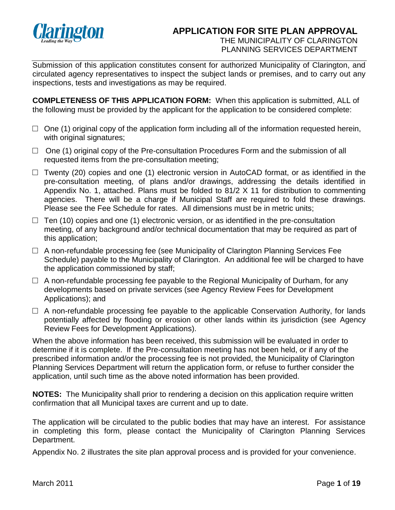

Submission of this application constitutes consent for authorized Municipality of Clarington, and circulated agency representatives to inspect the subject lands or premises, and to carry out any inspections, tests and investigations as may be required.

**COMPLETENESS OF THIS APPLICATION FORM:** When this application is submitted, ALL of the following must be provided by the applicant for the application to be considered complete:

- $\Box$  One (1) original copy of the application form including all of the information requested herein, with original signatures;
- $\Box$  One (1) original copy of the Pre-consultation Procedures Form and the submission of all requested items from the pre-consultation meeting;
- $\Box$  Twenty (20) copies and one (1) electronic version in AutoCAD format, or as identified in the pre-consultation meeting, of plans and/or drawings, addressing the details identified in Appendix No. 1, attached. Plans must be folded to 81/2 X 11 for distribution to commenting agencies. There will be a charge if Municipal Staff are required to fold these drawings. Please see the Fee Schedule for rates. All dimensions must be in metric units;
- $\Box$  Ten (10) copies and one (1) electronic version, or as identified in the pre-consultation meeting, of any background and/or technical documentation that may be required as part of this application;
- $\Box$  A non-refundable processing fee (see Municipality of Clarington Planning Services Fee Schedule) payable to the Municipality of Clarington. An additional fee will be charged to have the application commissioned by staff;
- $\Box$  A non-refundable processing fee payable to the Regional Municipality of Durham, for any developments based on private services (see Agency Review Fees for Development Applications); and
- $\Box$  A non-refundable processing fee payable to the applicable Conservation Authority, for lands potentially affected by flooding or erosion or other lands within its jurisdiction (see Agency Review Fees for Development Applications).

When the above information has been received, this submission will be evaluated in order to determine if it is complete. If the Pre-consultation meeting has not been held, or if any of the prescribed information and/or the processing fee is not provided, the Municipality of Clarington Planning Services Department will return the application form, or refuse to further consider the application, until such time as the above noted information has been provided.

**NOTES:** The Municipality shall prior to rendering a decision on this application require written confirmation that all Municipal taxes are current and up to date.

The application will be circulated to the public bodies that may have an interest. For assistance in completing this form, please contact the Municipality of Clarington Planning Services Department.

Appendix No. 2 illustrates the site plan approval process and is provided for your convenience.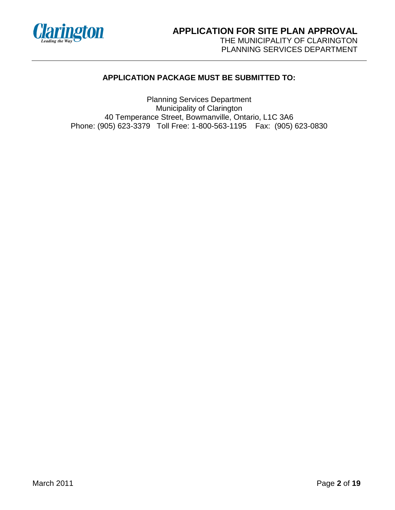

# **APPLICATION PACKAGE MUST BE SUBMITTED TO:**

Planning Services Department Municipality of Clarington 40 Temperance Street, Bowmanville, Ontario, L1C 3A6 Phone: (905) 623-3379 Toll Free: 1-800-563-1195 Fax: (905) 623-0830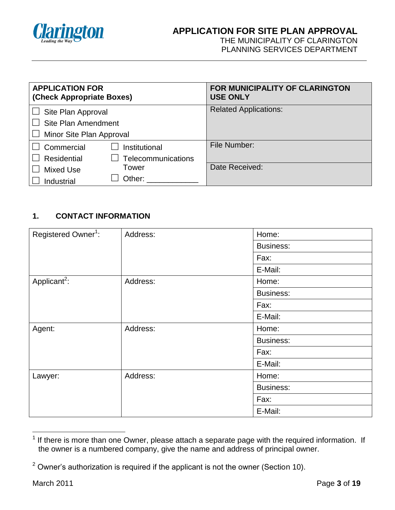

# **APPLICATION FOR SITE PLAN APPROVAL**

THE MUNICIPALITY OF CLARINGTON PLANNING SERVICES DEPARTMENT

| <b>APPLICATION FOR</b><br>(Check Appropriate Boxes) |                    | FOR MUNICIPALITY OF CLARINGTON<br><b>USE ONLY</b> |
|-----------------------------------------------------|--------------------|---------------------------------------------------|
| Site Plan Approval<br>$\perp$                       |                    | <b>Related Applications:</b>                      |
| Site Plan Amendment                                 |                    |                                                   |
| $\Box$ Minor Site Plan Approval                     |                    |                                                   |
| Commercial                                          | Institutional      | File Number:                                      |
| Residential                                         | Telecommunications |                                                   |
| <b>Mixed Use</b>                                    | Tower              | Date Received:                                    |
| Industrial                                          | Other:             |                                                   |

# **1. CONTACT INFORMATION**

| Registered Owner <sup>1</sup> : | Address: | Home:            |  |
|---------------------------------|----------|------------------|--|
|                                 |          | <b>Business:</b> |  |
|                                 |          | Fax:             |  |
|                                 |          | E-Mail:          |  |
| Applicant <sup>2</sup> :        | Address: | Home:            |  |
|                                 |          | <b>Business:</b> |  |
|                                 |          | Fax:             |  |
|                                 |          | E-Mail:          |  |
| Agent:                          | Address: | Home:            |  |
|                                 |          | <b>Business:</b> |  |
|                                 |          | Fax:             |  |
|                                 |          | E-Mail:          |  |
| Lawyer:                         | Address: | Home:            |  |
|                                 |          | <b>Business:</b> |  |
|                                 |          | Fax:             |  |
|                                 |          | E-Mail:          |  |

 1 If there is more than one Owner, please attach a separate page with the required information. If the owner is a numbered company, give the name and address of principal owner.

 $2$  Owner's authorization is required if the applicant is not the owner (Section 10).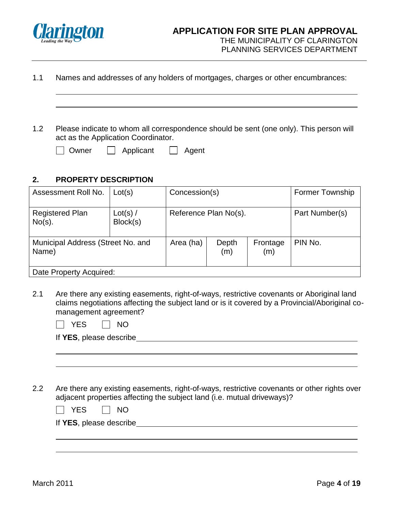

| 1.1 | Names and addresses of any holders of mortgages, charges or other encumbrances: |  |  |  |  |  |
|-----|---------------------------------------------------------------------------------|--|--|--|--|--|
|-----|---------------------------------------------------------------------------------|--|--|--|--|--|

1.2 Please indicate to whom all correspondence should be sent (one only). This person will act as the Application Coordinator.

|  | w |
|--|---|
|--|---|

wner  $\Box$  Applicant  $\Box$  Agent

## **2. PROPERTY DESCRIPTION**

| Assessment Roll No.                        | Lot(s)               | Concession(s)         |              | <b>Former Township</b> |                |
|--------------------------------------------|----------------------|-----------------------|--------------|------------------------|----------------|
| <b>Registered Plan</b><br>$No(s)$ .        | Lot(s) /<br>Block(s) | Reference Plan No(s). |              |                        | Part Number(s) |
| Municipal Address (Street No. and<br>Name) |                      | Area (ha)             | Depth<br>(m) | Frontage<br>(m)        | PIN No.        |
| Date Property Acquired:                    |                      |                       |              |                        |                |

2.1 Are there any existing easements, right-of-ways, restrictive covenants or Aboriginal land claims negotiations affecting the subject land or is it covered by a Provincial/Aboriginal comanagement agreement?

|  | NΟ |
|--|----|
|--|----|

|  |  | If YES, please describe |
|--|--|-------------------------|
|--|--|-------------------------|

2.2 Are there any existing easements, right-of-ways, restrictive covenants or other rights over adjacent properties affecting the subject land (i.e. mutual driveways)?

| If YES, please describe |  |
|-------------------------|--|
|                         |  |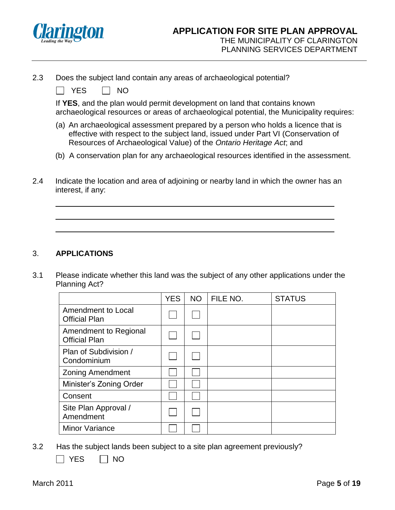

2.3 Does the subject land contain any areas of archaeological potential?

 $\Box$  YES  $\Box$  NO

If **YES**, and the plan would permit development on land that contains known archaeological resources or areas of archaeological potential, the Municipality requires:

- (a) An archaeological assessment prepared by a person who holds a licence that is effective with respect to the subject land, issued under Part VI (Conservation of Resources of Archaeological Value) of the *Ontario Heritage Act*; and
- (b) A conservation plan for any archaeological resources identified in the assessment.
- 2.4 Indicate the location and area of adjoining or nearby land in which the owner has an interest, if any:

#### 3. **APPLICATIONS**

3.1 Please indicate whether this land was the subject of any other applications under the Planning Act?

|                                               | <b>YES</b> | <b>NO</b> | FILE NO. | <b>STATUS</b> |
|-----------------------------------------------|------------|-----------|----------|---------------|
| Amendment to Local<br><b>Official Plan</b>    |            |           |          |               |
| Amendment to Regional<br><b>Official Plan</b> |            |           |          |               |
| Plan of Subdivision /<br>Condominium          |            |           |          |               |
| <b>Zoning Amendment</b>                       |            |           |          |               |
| Minister's Zoning Order                       |            |           |          |               |
| Consent                                       |            |           |          |               |
| Site Plan Approval /<br>Amendment             |            |           |          |               |
| <b>Minor Variance</b>                         |            |           |          |               |

3.2 Has the subject lands been subject to a site plan agreement previously?

 $\sqcap$  YES  $\qquad \Box$  NO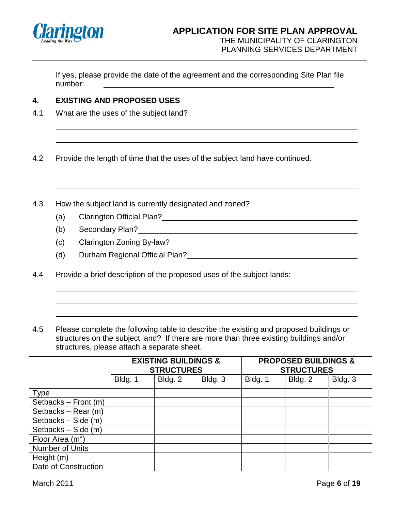

If yes, please provide the date of the agreement and the corresponding Site Plan file number:

## **4. EXISTING AND PROPOSED USES**

4.1 What are the uses of the subject land?

4.2 Provide the length of time that the uses of the subject land have continued.

- 4.3 How the subject land is currently designated and zoned?
	- (a) Clarington Official Plan?
	- (b) Secondary Plan?
	- (c) Clarington Zoning By-law?
	- (d) Durham Regional Official Plan?
- 4.4 Provide a brief description of the proposed uses of the subject lands:
- 4.5 Please complete the following table to describe the existing and proposed buildings or structures on the subject land? If there are more than three existing buildings and/or structures, please attach a separate sheet.

|                        | <b>EXISTING BUILDINGS &amp;</b><br><b>STRUCTURES</b> |         |         | <b>PROPOSED BUILDINGS &amp;</b><br><b>STRUCTURES</b> |         |         |
|------------------------|------------------------------------------------------|---------|---------|------------------------------------------------------|---------|---------|
|                        | Bldg. 1                                              | Bldg. 2 | Bldg. 3 | Bldg. 1                                              | Bldg. 2 | Bldg. 3 |
| Type                   |                                                      |         |         |                                                      |         |         |
| Setbacks $-$ Front (m) |                                                      |         |         |                                                      |         |         |
| Setbacks - Rear (m)    |                                                      |         |         |                                                      |         |         |
| Setbacks - Side (m)    |                                                      |         |         |                                                      |         |         |
| Setbacks - Side (m)    |                                                      |         |         |                                                      |         |         |
| Floor Area $(m2)$      |                                                      |         |         |                                                      |         |         |
| Number of Units        |                                                      |         |         |                                                      |         |         |
| Height (m)             |                                                      |         |         |                                                      |         |         |
| Date of Construction   |                                                      |         |         |                                                      |         |         |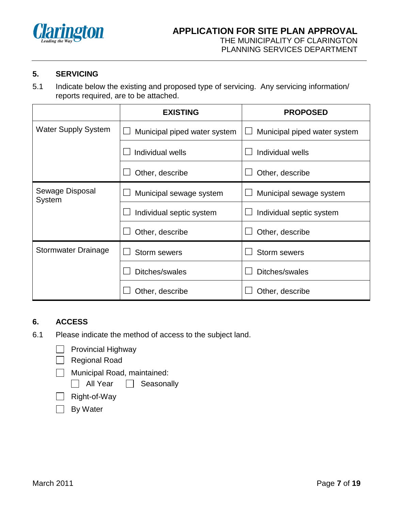

#### **5. SERVICING**

5.1 Indicate below the existing and proposed type of servicing. Any servicing information/ reports required, are to be attached.

|                            | <b>EXISTING</b>              | <b>PROPOSED</b>              |
|----------------------------|------------------------------|------------------------------|
| <b>Water Supply System</b> | Municipal piped water system | Municipal piped water system |
|                            | Individual wells             | Individual wells             |
|                            | Other, describe              | Other, describe              |
| Sewage Disposal<br>System  | Municipal sewage system      | Municipal sewage system      |
|                            | Individual septic system     | Individual septic system     |
|                            | Other, describe              | Other, describe              |
| Stormwater Drainage        | <b>Storm sewers</b>          | <b>Storm sewers</b>          |
|                            | Ditches/swales               | Ditches/swales               |
|                            | Other, describe              | Other, describe              |

#### **6. ACCESS**

- 6.1 Please indicate the method of access to the subject land.
	- $\Box$  Provincial Highway
	- Regional Road
	- **Municipal Road, maintained:**

All Year Seasonally

Right-of-Way

 $\Box$  By Water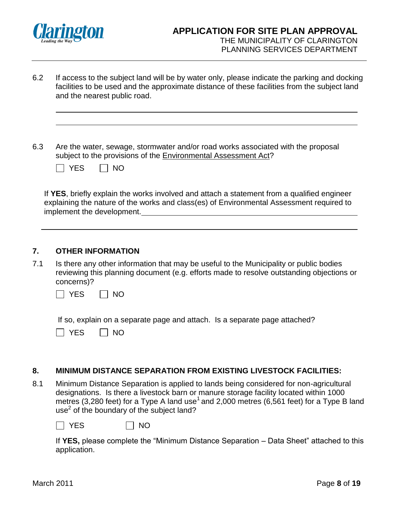

- 6.2 If access to the subject land will be by water only, please indicate the parking and docking facilities to be used and the approximate distance of these facilities from the subject land and the nearest public road.
- 6.3 Are the water, sewage, stormwater and/or road works associated with the proposal subject to the provisions of the Environmental Assessment Act?

|  | NΩ  |
|--|-----|
|  | . . |

If **YES**, briefly explain the works involved and attach a statement from a qualified engineer explaining the nature of the works and class(es) of Environmental Assessment required to implement the development.

#### **7. OTHER INFORMATION**

7.1 Is there any other information that may be useful to the Municipality or public bodies reviewing this planning document (e.g. efforts made to resolve outstanding objections or concerns)?



If so, explain on a separate page and attach. Is a separate page attached?

## **8. MINIMUM DISTANCE SEPARATION FROM EXISTING LIVESTOCK FACILITIES:**

8.1 Minimum Distance Separation is applied to lands being considered for non-agricultural designations. Is there a livestock barn or manure storage facility located within 1000 metres (3,280 feet) for a Type A land use<sup>1</sup> and 2,000 metres (6,561 feet) for a Type B land use<sup>2</sup> of the boundary of the subject land?

 $\Box$  YES  $\Box$  NO

If **YES,** please complete the "Minimum Distance Separation – Data Sheet" attached to this application.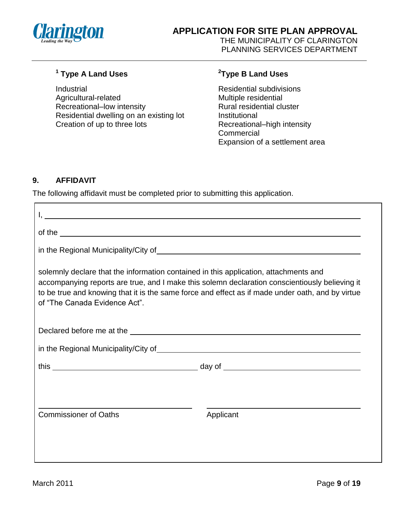

# **1 Type A Land Uses <sup>2</sup>**

Industrial **Industrial** Residential subdivisions Agricultural-related Multiple residential Recreational–low intensity **Rural residential cluster** Residential dwelling on an existing lot **Institutional** Creation of up to three lots Recreational–high intensity

# **Type B Land Uses**

**Commercial** Expansion of a settlement area

# **9. AFFIDAVIT**

The following affidavit must be completed prior to submitting this application.

|                               | of the $\overline{\phantom{a}}$                                                                                                                                                                                                                                                            |  |
|-------------------------------|--------------------------------------------------------------------------------------------------------------------------------------------------------------------------------------------------------------------------------------------------------------------------------------------|--|
|                               |                                                                                                                                                                                                                                                                                            |  |
| of "The Canada Evidence Act". | solemnly declare that the information contained in this application, attachments and<br>accompanying reports are true, and I make this solemn declaration conscientiously believing it<br>to be true and knowing that it is the same force and effect as if made under oath, and by virtue |  |
|                               | Declared before me at the substitution of the state of the state of the state of the state of the state of the                                                                                                                                                                             |  |
|                               |                                                                                                                                                                                                                                                                                            |  |
|                               |                                                                                                                                                                                                                                                                                            |  |
|                               |                                                                                                                                                                                                                                                                                            |  |
| <b>Commissioner of Oaths</b>  | Applicant                                                                                                                                                                                                                                                                                  |  |
|                               |                                                                                                                                                                                                                                                                                            |  |
|                               |                                                                                                                                                                                                                                                                                            |  |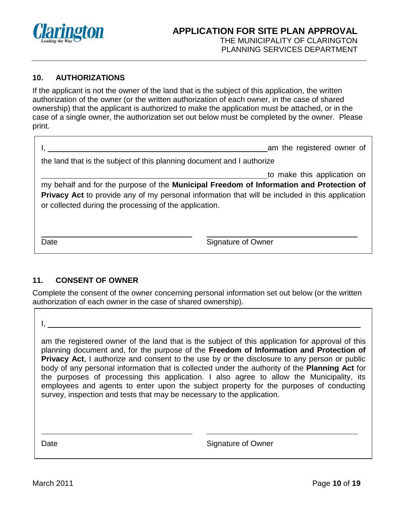

## **10. AUTHORIZATIONS**

If the applicant is not the owner of the land that is the subject of this application, the written authorization of the owner (or the written authorization of each owner, in the case of shared ownership) that the applicant is authorized to make the application must be attached, or in the case of a single owner, the authorization set out below must be completed by the owner. Please print.

|                                                        | am the registered owner of                                                                                                                                                                        |
|--------------------------------------------------------|---------------------------------------------------------------------------------------------------------------------------------------------------------------------------------------------------|
|                                                        | the land that is the subject of this planning document and I authorize                                                                                                                            |
|                                                        | to make this application on                                                                                                                                                                       |
| or collected during the processing of the application. | my behalf and for the purpose of the Municipal Freedom of Information and Protection of<br><b>Privacy Act</b> to provide any of my personal information that will be included in this application |
| Date                                                   | Signature of Owner                                                                                                                                                                                |

## **11. CONSENT OF OWNER**

Complete the consent of the owner concerning personal information set out below (or the written authorization of each owner in the case of shared ownership).

I,

am the registered owner of the land that is the subject of this application for approval of this planning document and, for the purpose of the **Freedom of Information and Protection of Privacy Act**, I authorize and consent to the use by or the disclosure to any person or public body of any personal information that is collected under the authority of the **Planning Act** for the purposes of processing this application. I also agree to allow the Municipality, its employees and agents to enter upon the subject property for the purposes of conducting survey, inspection and tests that may be necessary to the application.

Date **Signature of Owner**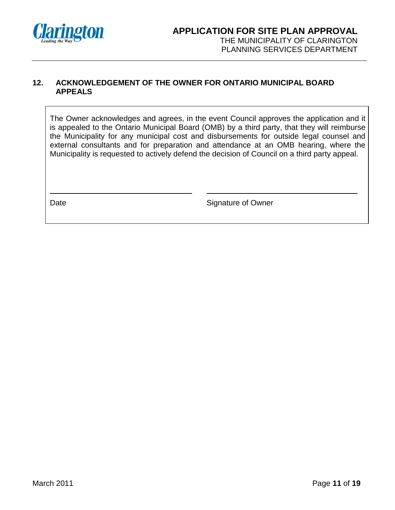

#### **12. ACKNOWLEDGEMENT OF THE OWNER FOR ONTARIO MUNICIPAL BOARD APPEALS**

The Owner acknowledges and agrees, in the event Council approves the application and it is appealed to the Ontario Municipal Board (OMB) by a third party, that they will reimburse the Municipality for any municipal cost and disbursements for outside legal counsel and external consultants and for preparation and attendance at an OMB hearing, where the Municipality is requested to actively defend the decision of Council on a third party appeal.

Date **Signature of Owner**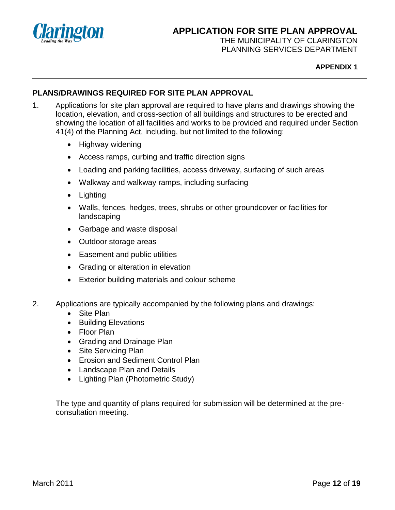

#### **APPENDIX 1**

## **PLANS/DRAWINGS REQUIRED FOR SITE PLAN APPROVAL**

- 1. Applications for site plan approval are required to have plans and drawings showing the location, elevation, and cross-section of all buildings and structures to be erected and showing the location of all facilities and works to be provided and required under Section 41(4) of the Planning Act, including, but not limited to the following:
	- Highway widening
	- Access ramps, curbing and traffic direction signs
	- Loading and parking facilities, access driveway, surfacing of such areas
	- Walkway and walkway ramps, including surfacing
	- Lighting
	- Walls, fences, hedges, trees, shrubs or other groundcover or facilities for landscaping
	- Garbage and waste disposal
	- Outdoor storage areas
	- Easement and public utilities
	- Grading or alteration in elevation
	- Exterior building materials and colour scheme
- 2. Applications are typically accompanied by the following plans and drawings:
	- Site Plan
	- **•** Building Elevations
	- Floor Plan
	- Grading and Drainage Plan
	- Site Servicing Plan
	- Erosion and Sediment Control Plan
	- Landscape Plan and Details
	- Lighting Plan (Photometric Study)

The type and quantity of plans required for submission will be determined at the preconsultation meeting.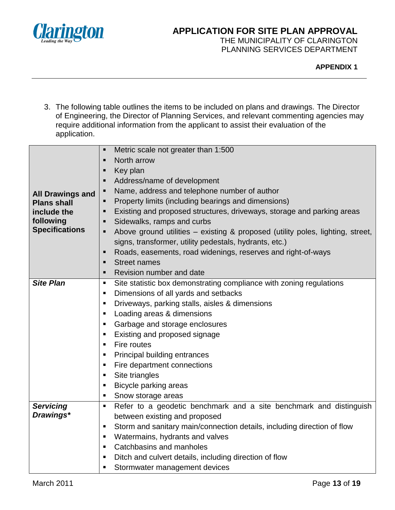

#### **APPLICATION FOR SITE PLAN APPROVAL** THE MUNICIPALITY OF CLARINGTON

PLANNING SERVICES DEPARTMENT

#### **APPENDIX 1**

3. The following table outlines the items to be included on plans and drawings. The Director of Engineering, the Director of Planning Services, and relevant commenting agencies may require additional information from the applicant to assist their evaluation of the application.

|                         | Metric scale not greater than 1:500<br>$\blacksquare$                                     |  |  |  |
|-------------------------|-------------------------------------------------------------------------------------------|--|--|--|
|                         | North arrow                                                                               |  |  |  |
|                         | Key plan<br>п                                                                             |  |  |  |
|                         | Address/name of development<br>п                                                          |  |  |  |
| <b>All Drawings and</b> | Name, address and telephone number of author<br>$\blacksquare$                            |  |  |  |
| <b>Plans shall</b>      | Property limits (including bearings and dimensions)<br>٠                                  |  |  |  |
| include the             | Existing and proposed structures, driveways, storage and parking areas<br>п               |  |  |  |
| following               | Sidewalks, ramps and curbs<br>$\blacksquare$                                              |  |  |  |
| <b>Specifications</b>   | Above ground utilities – existing & proposed (utility poles, lighting, street,<br>٠       |  |  |  |
|                         | signs, transformer, utility pedestals, hydrants, etc.)                                    |  |  |  |
|                         | Roads, easements, road widenings, reserves and right-of-ways<br>п                         |  |  |  |
|                         | <b>Street names</b><br>٠                                                                  |  |  |  |
|                         | Revision number and date<br>٠                                                             |  |  |  |
| <b>Site Plan</b>        | Site statistic box demonstrating compliance with zoning regulations<br>٠                  |  |  |  |
|                         | Dimensions of all yards and setbacks<br>п                                                 |  |  |  |
|                         | Driveways, parking stalls, aisles & dimensions<br>$\blacksquare$                          |  |  |  |
|                         | Loading areas & dimensions<br>п                                                           |  |  |  |
|                         | Garbage and storage enclosures<br>п                                                       |  |  |  |
|                         | Existing and proposed signage<br>٠                                                        |  |  |  |
|                         | Fire routes<br>٠                                                                          |  |  |  |
|                         | Principal building entrances<br>٠                                                         |  |  |  |
|                         | Fire department connections<br>п                                                          |  |  |  |
|                         | Site triangles<br>٠                                                                       |  |  |  |
|                         | Bicycle parking areas<br>٠                                                                |  |  |  |
|                         | Snow storage areas<br>п                                                                   |  |  |  |
| <b>Servicing</b>        | Refer to a geodetic benchmark and a site benchmark and distinguish<br>п                   |  |  |  |
| Drawings*               | between existing and proposed                                                             |  |  |  |
|                         | Storm and sanitary main/connection details, including direction of flow<br>$\blacksquare$ |  |  |  |
|                         | Watermains, hydrants and valves<br>п                                                      |  |  |  |
|                         | Catchbasins and manholes<br>٠                                                             |  |  |  |
|                         | Ditch and culvert details, including direction of flow<br>п                               |  |  |  |
|                         | Stormwater management devices<br>$\blacksquare$                                           |  |  |  |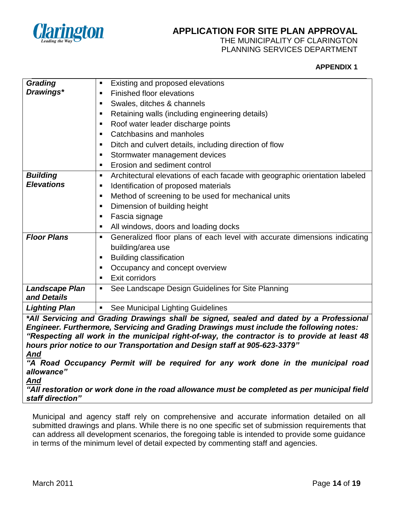

#### **APPLICATION FOR SITE PLAN APPROVAL** THE MUNICIPALITY OF CLARINGTON PLANNING SERVICES DEPARTMENT

#### **APPENDIX 1**

| <b>Grading</b>        | Existing and proposed elevations<br>п                                                   |
|-----------------------|-----------------------------------------------------------------------------------------|
| Drawings*             | <b>Finished floor elevations</b><br>п                                                   |
|                       | Swales, ditches & channels<br>п                                                         |
|                       | Retaining walls (including engineering details)<br>п                                    |
|                       | Roof water leader discharge points<br>п                                                 |
|                       | Catchbasins and manholes<br>п                                                           |
|                       | Ditch and culvert details, including direction of flow<br>п                             |
|                       | Stormwater management devices<br>п                                                      |
|                       | Erosion and sediment control<br>п                                                       |
| <b>Building</b>       | Architectural elevations of each facade with geographic orientation labeled<br>п        |
| <b>Elevations</b>     | Identification of proposed materials<br>п                                               |
|                       | Method of screening to be used for mechanical units<br>п                                |
|                       | Dimension of building height<br>п                                                       |
|                       | Fascia signage<br>п                                                                     |
|                       | All windows, doors and loading docks<br>п                                               |
| <b>Floor Plans</b>    | Generalized floor plans of each level with accurate dimensions indicating<br>٠          |
|                       | building/area use                                                                       |
|                       | <b>Building classification</b><br>п                                                     |
|                       | Occupancy and concept overview<br>п                                                     |
|                       | Exit corridors<br>п                                                                     |
| <b>Landscape Plan</b> | See Landscape Design Guidelines for Site Planning<br>П                                  |
| and Details           |                                                                                         |
| <b>Lighting Plan</b>  | See Municipal Lighting Guidelines<br>$\blacksquare$                                     |
|                       | *All Servicing and Grading Drawings shall be signed, sealed and dated by a Professional |
|                       |                                                                                         |

*Engineer. Furthermore, Servicing and Grading Drawings must include the following notes: "Respecting all work in the municipal right-of-way, the contractor is to provide at least 48 hours prior notice to our Transportation and Design staff at 905-623-3379" And*

*"A Road Occupancy Permit will be required for any work done in the municipal road allowance"*

*And*

*"All restoration or work done in the road allowance must be completed as per municipal field staff direction"*

Municipal and agency staff rely on comprehensive and accurate information detailed on all submitted drawings and plans. While there is no one specific set of submission requirements that can address all development scenarios, the foregoing table is intended to provide some guidance in terms of the minimum level of detail expected by commenting staff and agencies.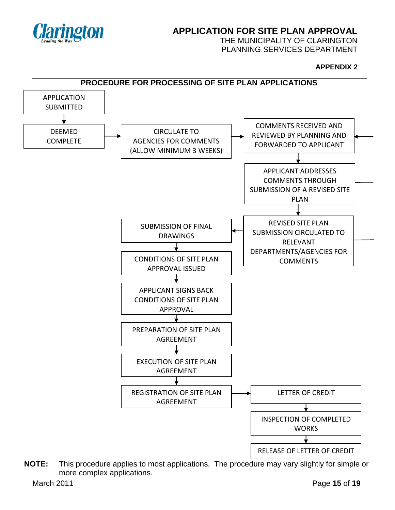

# **APPLICATION FOR SITE PLAN APPROVAL**

THE MUNICIPALITY OF CLARINGTON PLANNING SERVICES DEPARTMENT

## **APPENDIX 2**



**NOTE:** This procedure applies to most applications. The procedure may vary slightly for simple or more complex applications.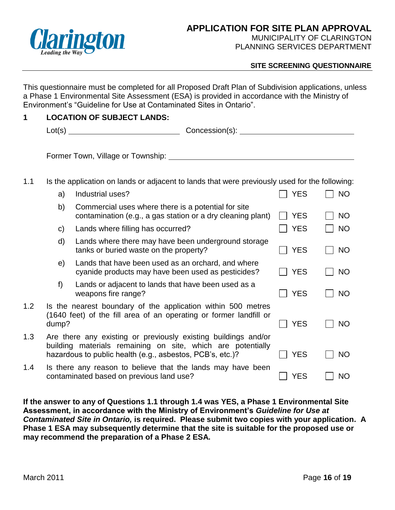

#### **SITE SCREENING QUESTIONNAIRE**

This questionnaire must be completed for all Proposed Draft Plan of Subdivision applications, unless a Phase 1 Environmental Site Assessment (ESA) is provided in accordance with the Ministry of Environment's "Guideline for Use at Contaminated Sites in Ontario".

# **1 LOCATION OF SUBJECT LANDS:**

|     |              | Lot(s)                                                                                                                                |            |           |
|-----|--------------|---------------------------------------------------------------------------------------------------------------------------------------|------------|-----------|
|     |              | Former Town, Village or Township: _                                                                                                   |            |           |
| 1.1 |              | Is the application on lands or adjacent to lands that were previously used for the following:                                         |            |           |
|     | a)           | Industrial uses?                                                                                                                      | YES        | <b>NO</b> |
|     | b)           | Commercial uses where there is a potential for site<br>contamination (e.g., a gas station or a dry cleaning plant)                    | <b>YES</b> | <b>NO</b> |
|     | $\mathsf{C}$ | Lands where filling has occurred?                                                                                                     | <b>YES</b> | <b>NO</b> |
|     | d)           | Lands where there may have been underground storage<br>tanks or buried waste on the property?                                         | <b>YES</b> | <b>NO</b> |
|     | e)           | Lands that have been used as an orchard, and where<br>cyanide products may have been used as pesticides?                              | <b>YES</b> | <b>NO</b> |
|     | f)           | Lands or adjacent to lands that have been used as a<br>weapons fire range?                                                            | <b>YES</b> | <b>NO</b> |
| 1.2 | dump?        | Is the nearest boundary of the application within 500 metres<br>(1640 feet) of the fill area of an operating or former landfill or    | <b>YES</b> | <b>NO</b> |
| 1.3 |              | Are there any existing or previously existing buildings and/or<br>وبالملفوع والمستحي والمستحدث والمنافس والمنافذ والمستند والماستقطان |            |           |

- building materials remaining on site, which are potentially hazardous to public health (e.g., asbestos, PCB's, etc.)?  $\Box$  YES  $\Box$  NO
- 1.4 Is there any reason to believe that the lands may have been  $contaminated based on previous land use?$   $\Box$  YES  $\Box$  NO

**If the answer to any of Questions 1.1 through 1.4 was YES, a Phase 1 Environmental Site Assessment, in accordance with the Ministry of Environment's** *Guideline for Use at Contaminated Site in Ontario,* **is required. Please submit two copies with your application. A Phase 1 ESA may subsequently determine that the site is suitable for the proposed use or may recommend the preparation of a Phase 2 ESA.**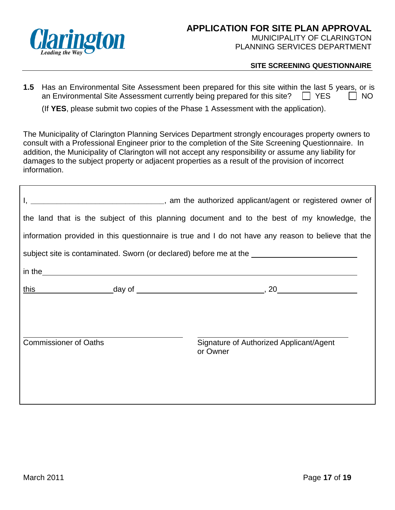

#### **SITE SCREENING QUESTIONNAIRE**

**1.5** Has an Environmental Site Assessment been prepared for this site within the last 5 years, or is an Environmental Site Assessment currently being prepared for this site?  $\Box$  YES  $\Box$  NO

(If **YES**, please submit two copies of the Phase 1 Assessment with the application).

The Municipality of Clarington Planning Services Department strongly encourages property owners to consult with a Professional Engineer prior to the completion of the Site Screening Questionnaire. In addition, the Municipality of Clarington will not accept any responsibility or assume any liability for damages to the subject property or adjacent properties as a result of the provision of incorrect information.

| am the authorized applicant/agent or registered owner of metallicial contracts.                                       |                                                     |  |  |  |  |
|-----------------------------------------------------------------------------------------------------------------------|-----------------------------------------------------|--|--|--|--|
| the land that is the subject of this planning document and to the best of my knowledge, the                           |                                                     |  |  |  |  |
| information provided in this questionnaire is true and I do not have any reason to believe that the                   |                                                     |  |  |  |  |
| subject site is contaminated. Sworn (or declared) before me at the                                                    |                                                     |  |  |  |  |
| in the <u>second and the second and the second and the second and the second and the second and the second second</u> |                                                     |  |  |  |  |
|                                                                                                                       |                                                     |  |  |  |  |
|                                                                                                                       |                                                     |  |  |  |  |
|                                                                                                                       |                                                     |  |  |  |  |
| <b>Commissioner of Oaths</b>                                                                                          | Signature of Authorized Applicant/Agent<br>or Owner |  |  |  |  |
|                                                                                                                       |                                                     |  |  |  |  |
|                                                                                                                       |                                                     |  |  |  |  |
|                                                                                                                       |                                                     |  |  |  |  |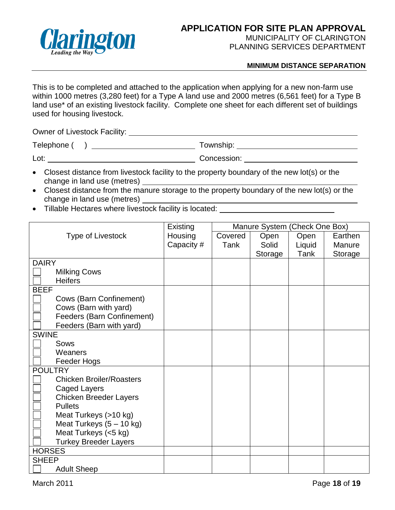

#### **MINIMUM DISTANCE SEPARATION**

This is to be completed and attached to the application when applying for a new non-farm use within 1000 metres (3,280 feet) for a Type A land use and 2000 metres (6,561 feet) for a Type B land use\* of an existing livestock facility. Complete one sheet for each different set of buildings used for housing livestock.

Owner of Livestock Facility:

Telephone ( ) Township:

Lot: Concession:

- Closest distance from livestock facility to the property boundary of the new lot(s) or the change in land use (metres)
- Closest distance from the manure storage to the property boundary of the new lot(s) or the change in land use (metres)
- Tillable Hectares where livestock facility is located:

|                                   | Existing   | Manure System (Check One Box) |         |        |         |
|-----------------------------------|------------|-------------------------------|---------|--------|---------|
| <b>Type of Livestock</b>          | Housing    | Covered                       | Open    | Open   | Earthen |
|                                   | Capacity # | Tank                          | Solid   | Liquid | Manure  |
|                                   |            |                               | Storage | Tank   | Storage |
| <b>DAIRY</b>                      |            |                               |         |        |         |
| <b>Milking Cows</b>               |            |                               |         |        |         |
| <b>Heifers</b>                    |            |                               |         |        |         |
| <b>BEEF</b>                       |            |                               |         |        |         |
| Cows (Barn Confinement)           |            |                               |         |        |         |
| Cows (Barn with yard)             |            |                               |         |        |         |
| <b>Feeders (Barn Confinement)</b> |            |                               |         |        |         |
| Feeders (Barn with yard)          |            |                               |         |        |         |
| <b>SWINE</b>                      |            |                               |         |        |         |
| <b>Sows</b>                       |            |                               |         |        |         |
| Weaners                           |            |                               |         |        |         |
| Feeder Hogs                       |            |                               |         |        |         |
| <b>POULTRY</b>                    |            |                               |         |        |         |
| <b>Chicken Broiler/Roasters</b>   |            |                               |         |        |         |
| <b>Caged Layers</b>               |            |                               |         |        |         |
| <b>Chicken Breeder Layers</b>     |            |                               |         |        |         |
| <b>Pullets</b>                    |            |                               |         |        |         |
| Meat Turkeys (>10 kg)             |            |                               |         |        |         |
| Meat Turkeys $(5 - 10$ kg)        |            |                               |         |        |         |
| Meat Turkeys (<5 kg)              |            |                               |         |        |         |
| <b>Turkey Breeder Layers</b>      |            |                               |         |        |         |
| <b>HORSES</b>                     |            |                               |         |        |         |
| <b>SHEEP</b>                      |            |                               |         |        |         |
| <b>Adult Sheep</b>                |            |                               |         |        |         |